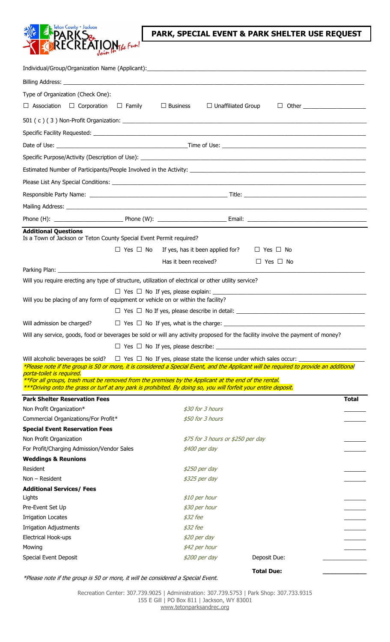

## **PARK, SPECIAL EVENT & PARK SHELTER USE REQUEST**

| Type of Organization (Check One):                                                                                                 |                      |                       |                                   |                                                                                                                                        |              |  |  |  |
|-----------------------------------------------------------------------------------------------------------------------------------|----------------------|-----------------------|-----------------------------------|----------------------------------------------------------------------------------------------------------------------------------------|--------------|--|--|--|
| $\Box$ Association<br>$\Box$ Corporation $\Box$ Family                                                                            |                      | $\Box$ Business       | $\Box$ Unaffiliated Group         |                                                                                                                                        |              |  |  |  |
|                                                                                                                                   |                      |                       |                                   |                                                                                                                                        |              |  |  |  |
|                                                                                                                                   |                      |                       |                                   |                                                                                                                                        |              |  |  |  |
|                                                                                                                                   |                      |                       |                                   |                                                                                                                                        |              |  |  |  |
|                                                                                                                                   |                      |                       |                                   |                                                                                                                                        |              |  |  |  |
|                                                                                                                                   |                      |                       |                                   |                                                                                                                                        |              |  |  |  |
|                                                                                                                                   |                      |                       |                                   |                                                                                                                                        |              |  |  |  |
|                                                                                                                                   |                      |                       |                                   |                                                                                                                                        |              |  |  |  |
|                                                                                                                                   |                      |                       |                                   |                                                                                                                                        |              |  |  |  |
|                                                                                                                                   |                      |                       |                                   |                                                                                                                                        |              |  |  |  |
|                                                                                                                                   |                      |                       |                                   |                                                                                                                                        |              |  |  |  |
| <b>Additional Questions</b>                                                                                                       |                      |                       |                                   |                                                                                                                                        |              |  |  |  |
| Is a Town of Jackson or Teton County Special Event Permit required?                                                               |                      |                       |                                   |                                                                                                                                        |              |  |  |  |
|                                                                                                                                   | $\Box$ Yes $\Box$ No |                       | If yes, has it been applied for?  | $\Box$ Yes $\Box$ No                                                                                                                   |              |  |  |  |
|                                                                                                                                   |                      | Has it been received? |                                   | $\Box$ Yes $\Box$ No                                                                                                                   |              |  |  |  |
|                                                                                                                                   |                      |                       |                                   |                                                                                                                                        |              |  |  |  |
| Will you require erecting any type of structure, utilization of electrical or other utility service?                              |                      |                       |                                   |                                                                                                                                        |              |  |  |  |
|                                                                                                                                   |                      |                       |                                   |                                                                                                                                        |              |  |  |  |
| Will you be placing of any form of equipment or vehicle on or within the facility?                                                |                      |                       |                                   |                                                                                                                                        |              |  |  |  |
|                                                                                                                                   |                      |                       |                                   |                                                                                                                                        |              |  |  |  |
| Will admission be charged?                                                                                                        |                      |                       |                                   |                                                                                                                                        |              |  |  |  |
|                                                                                                                                   |                      |                       |                                   | Will any service, goods, food or beverages be sold or will any activity proposed for the facility involve the payment of money?        |              |  |  |  |
|                                                                                                                                   |                      |                       |                                   |                                                                                                                                        |              |  |  |  |
| Will alcoholic beverages be sold?                                                                                                 |                      |                       |                                   | $\Box$ Yes $\Box$ No If yes, please state the license under which sales occur: _                                                       |              |  |  |  |
|                                                                                                                                   |                      |                       |                                   | *Please note if the group is 50 or more, it is considered a Special Event, and the Applicant will be required to provide an additional |              |  |  |  |
| porta-toilet is required.<br>**For all groups, trash must be removed from the premises by the Applicant at the end of the rental. |                      |                       |                                   |                                                                                                                                        |              |  |  |  |
| ***Driving onto the grass or turf at any park is prohibited. By doing so, you will forfeit your entire deposit.                   |                      |                       |                                   |                                                                                                                                        |              |  |  |  |
| <b>Park Shelter Reservation Fees</b>                                                                                              |                      |                       |                                   |                                                                                                                                        | <b>Total</b> |  |  |  |
| Non Profit Organization*                                                                                                          |                      |                       | \$30 for 3 hours                  |                                                                                                                                        |              |  |  |  |
| Commercial Organizations/For Profit*                                                                                              |                      |                       | \$50 for 3 hours                  |                                                                                                                                        |              |  |  |  |
| <b>Special Event Reservation Fees</b>                                                                                             |                      |                       |                                   |                                                                                                                                        |              |  |  |  |
| Non Profit Organization                                                                                                           |                      |                       | \$75 for 3 hours or \$250 per day |                                                                                                                                        |              |  |  |  |
| For Profit/Charging Admission/Vendor Sales                                                                                        |                      |                       | \$400 per day                     |                                                                                                                                        |              |  |  |  |
| <b>Weddings &amp; Reunions</b>                                                                                                    |                      |                       |                                   |                                                                                                                                        |              |  |  |  |
| Resident                                                                                                                          |                      |                       | \$250 per day                     |                                                                                                                                        |              |  |  |  |
| Non - Resident                                                                                                                    |                      |                       | \$325 per day                     |                                                                                                                                        |              |  |  |  |
| <b>Additional Services/ Fees</b>                                                                                                  |                      |                       |                                   |                                                                                                                                        |              |  |  |  |
| Lights<br>Pre-Event Set Up                                                                                                        |                      |                       | \$10 per hour<br>\$30 per hour    |                                                                                                                                        |              |  |  |  |
|                                                                                                                                   |                      |                       |                                   |                                                                                                                                        |              |  |  |  |
| <b>Irrigation Locates</b>                                                                                                         |                      | $$32$ fee             |                                   |                                                                                                                                        |              |  |  |  |
| <b>Irrigation Adjustments</b>                                                                                                     |                      | $$32$ fee             |                                   |                                                                                                                                        |              |  |  |  |
| Electrical Hook-ups                                                                                                               |                      |                       | \$20 per day                      |                                                                                                                                        |              |  |  |  |
| Mowing                                                                                                                            |                      |                       | \$42 per hour                     |                                                                                                                                        |              |  |  |  |
| Special Event Deposit                                                                                                             |                      |                       | \$200 per day                     | Deposit Due:                                                                                                                           |              |  |  |  |
|                                                                                                                                   |                      |                       |                                   | <b>Total Due:</b>                                                                                                                      |              |  |  |  |

\*Please note if the group is 50 or more, it will be considered a Special Event.

Recreation Center: 307.739.9025 | Administration: 307.739.5753 | Park Shop: 307.733.9315 155 E Gill | PO Box 811 | Jackson, WY 83001 [www.tetonparksandrec.org](http://www.tetonparksandrec.org/)